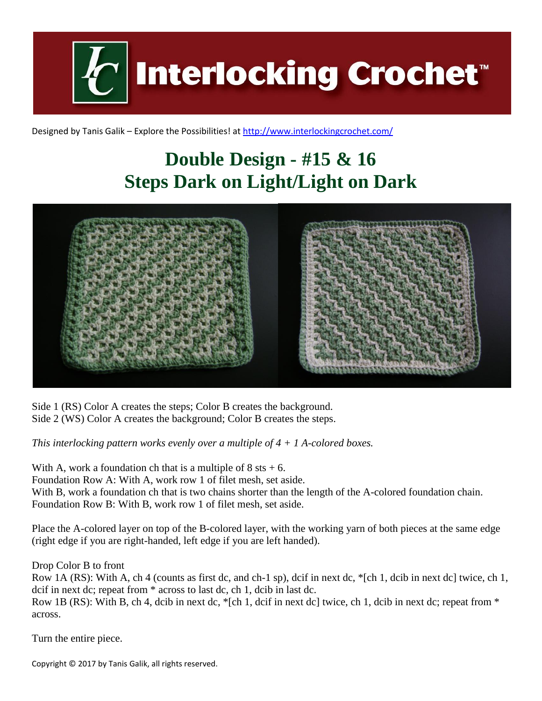**Interlocking Crochet™** 

Designed by Tanis Galik – Explore the Possibilities! a[t http://www.interlockingcrochet.com/](http://www.interlockingcrochet.com/)

## **Double Design - #15 & 16 Steps Dark on Light/Light on Dark**



Side 1 (RS) Color A creates the steps; Color B creates the background. Side 2 (WS) Color A creates the background; Color B creates the steps.

*This interlocking pattern works evenly over a multiple of 4 + 1 A-colored boxes.*

With A, work a foundation ch that is a multiple of  $8$  sts  $+ 6$ . Foundation Row A: With A, work row 1 of filet mesh, set aside. With B, work a foundation ch that is two chains shorter than the length of the A-colored foundation chain. Foundation Row B: With B, work row 1 of filet mesh, set aside.

Place the A-colored layer on top of the B-colored layer, with the working yarn of both pieces at the same edge (right edge if you are right-handed, left edge if you are left handed).

Drop Color B to front

Row 1A (RS): With A, ch 4 (counts as first dc, and ch-1 sp), dcif in next dc, \*[ch 1, dcib in next dc] twice, ch 1, dcif in next dc; repeat from \* across to last dc, ch 1, dcib in last dc. Row 1B (RS): With B, ch 4, dcib in next dc, \*[ch 1, dcif in next dc] twice, ch 1, dcib in next dc; repeat from \*

Turn the entire piece.

across.

Copyright © 2017 by Tanis Galik, all rights reserved.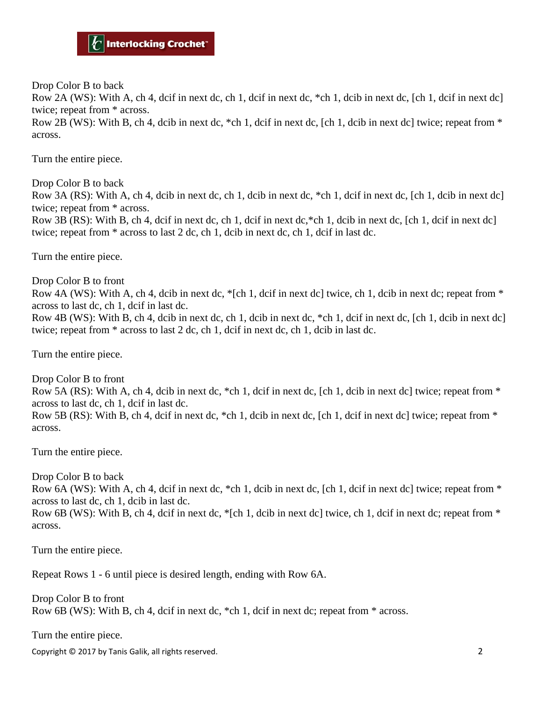Drop Color B to back

Row 2A (WS): With A, ch 4, dcif in next dc, ch 1, dcif in next dc, \*ch 1, dcib in next dc, [ch 1, dcif in next dc] twice; repeat from \* across.

Row 2B (WS): With B, ch 4, dcib in next dc,  $*$ ch 1, dcif in next dc, [ch 1, dcib in next dc] twice; repeat from  $*$ across.

Turn the entire piece.

Drop Color B to back

Row 3A (RS): With A, ch 4, dcib in next dc, ch 1, dcib in next dc, \*ch 1, dcif in next dc, [ch 1, dcib in next dc] twice; repeat from \* across.

Row 3B (RS): With B, ch 4, dcif in next dc, ch 1, dcif in next dc,  $*$ ch 1, dcib in next dc, [ch 1, dcif in next dc] twice; repeat from \* across to last 2 dc, ch 1, dcib in next dc, ch 1, dcif in last dc.

Turn the entire piece.

Drop Color B to front

Row 4A (WS): With A, ch 4, dcib in next dc,  $\epsilon$ [ch 1, dcif in next dc] twice, ch 1, dcib in next dc; repeat from  $\epsilon$ across to last dc, ch 1, dcif in last dc.

Row 4B (WS): With B, ch 4, dcib in next dc, ch 1, dcib in next dc, \*ch 1, dcif in next dc, [ch 1, dcib in next dc] twice; repeat from \* across to last 2 dc, ch 1, dcif in next dc, ch 1, dcib in last dc.

Turn the entire piece.

Drop Color B to front Row 5A (RS): With A, ch 4, dcib in next dc,  $*$ ch 1, dcif in next dc, [ch 1, dcib in next dc] twice; repeat from  $*$ across to last dc, ch 1, dcif in last dc. Row 5B (RS): With B, ch 4, dcif in next dc,  $*$ ch 1, dcib in next dc, [ch 1, dcif in next dc] twice; repeat from  $*$ across.

Turn the entire piece.

Drop Color B to back

Row 6A (WS): With A, ch 4, dcif in next dc,  $*$ ch 1, dcib in next dc, [ch 1, dcif in next dc] twice; repeat from  $*$ across to last dc, ch 1, dcib in last dc.

Row 6B (WS): With B, ch 4, dcif in next dc,  $\epsilon$ [ch 1, dcib in next dc] twice, ch 1, dcif in next dc; repeat from  $\epsilon$ across.

Turn the entire piece.

Repeat Rows 1 - 6 until piece is desired length, ending with Row 6A.

Drop Color B to front Row 6B (WS): With B, ch 4, dcif in next dc, \*ch 1, dcif in next dc; repeat from \* across.

Turn the entire piece.

Copyright © 2017 by Tanis Galik, all rights reserved. 2